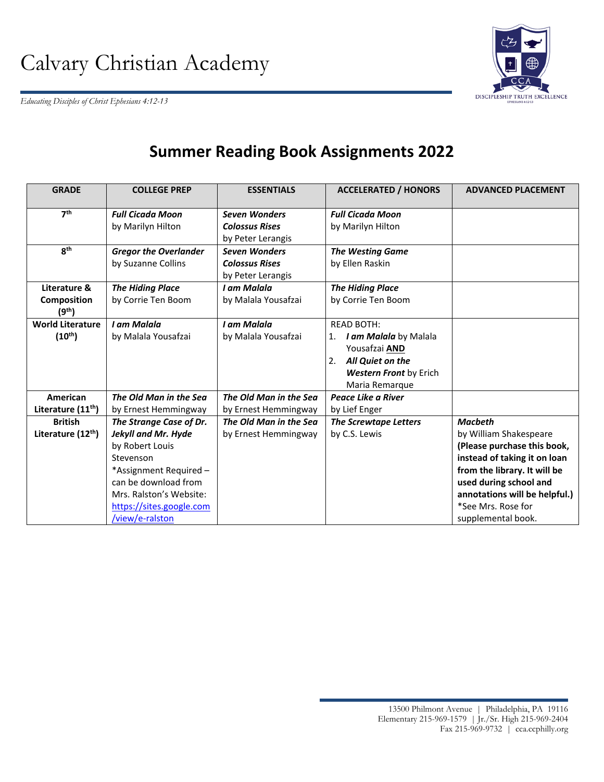*Educating Disciples of Christ Ephesians 4:12-13* 



## **Summer Reading Book Assignments 2022**

| <b>GRADE</b>                                      | <b>COLLEGE PREP</b>                                                                                                                                                                                               | <b>ESSENTIALS</b>                                                  | <b>ACCELERATED / HONORS</b>                                                                                                                 | <b>ADVANCED PLACEMENT</b>                                                                                                                                                                                                                      |
|---------------------------------------------------|-------------------------------------------------------------------------------------------------------------------------------------------------------------------------------------------------------------------|--------------------------------------------------------------------|---------------------------------------------------------------------------------------------------------------------------------------------|------------------------------------------------------------------------------------------------------------------------------------------------------------------------------------------------------------------------------------------------|
| 7 <sup>th</sup>                                   | <b>Full Cicada Moon</b><br>by Marilyn Hilton                                                                                                                                                                      | <b>Seven Wonders</b><br><b>Colossus Rises</b><br>by Peter Lerangis | <b>Full Cicada Moon</b><br>by Marilyn Hilton                                                                                                |                                                                                                                                                                                                                                                |
| 8 <sup>th</sup>                                   | <b>Gregor the Overlander</b><br>by Suzanne Collins                                                                                                                                                                | <b>Seven Wonders</b><br><b>Colossus Rises</b><br>by Peter Lerangis | <b>The Westing Game</b><br>by Ellen Raskin                                                                                                  |                                                                                                                                                                                                                                                |
| Literature &<br>Composition<br>(9 <sup>th</sup> ) | <b>The Hiding Place</b><br>by Corrie Ten Boom                                                                                                                                                                     | I am Malala<br>by Malala Yousafzai                                 | <b>The Hiding Place</b><br>by Corrie Ten Boom                                                                                               |                                                                                                                                                                                                                                                |
| <b>World Literature</b><br>$(10^{th})$            | I am Malala<br>by Malala Yousafzai                                                                                                                                                                                | I am Malala<br>by Malala Yousafzai                                 | <b>READ BOTH:</b><br>1. I am Malala by Malala<br>Yousafzai AND<br>2.<br>All Quiet on the<br><b>Western Front by Erich</b><br>Maria Remarque |                                                                                                                                                                                                                                                |
| American<br>Literature (11 <sup>th</sup> )        | The Old Man in the Sea<br>by Ernest Hemmingway                                                                                                                                                                    | The Old Man in the Sea<br>by Ernest Hemmingway                     | Peace Like a River<br>by Lief Enger                                                                                                         |                                                                                                                                                                                                                                                |
| <b>British</b><br>Literature (12 <sup>th</sup> )  | The Strange Case of Dr.<br><b>Jekyll and Mr. Hyde</b><br>by Robert Louis<br>Stevenson<br>*Assignment Required -<br>can be download from<br>Mrs. Ralston's Website:<br>https://sites.google.com<br>/view/e-ralston | The Old Man in the Sea<br>by Ernest Hemmingway                     | <b>The Screwtape Letters</b><br>by C.S. Lewis                                                                                               | <b>Macbeth</b><br>by William Shakespeare<br>(Please purchase this book,<br>instead of taking it on loan<br>from the library. It will be<br>used during school and<br>annotations will be helpful.)<br>*See Mrs. Rose for<br>supplemental book. |